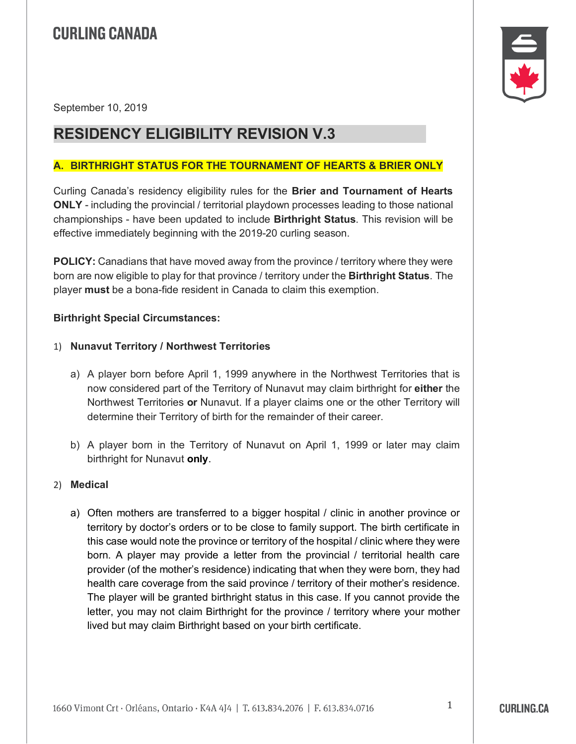September 10, 2019

### **RESIDENCY ELIGIBILITY REVISION V.3**

#### **A. BIRTHRIGHT STATUS FOR THE TOURNAMENT OF HEARTS & BRIER ONLY**

Curling Canada's residency eligibility rules for the **Brier and Tournament of Hearts ONLY** - including the provincial / territorial playdown processes leading to those national championships - have been updated to include **Birthright Status**. This revision will be effective immediately beginning with the 2019-20 curling season.

**POLICY:** Canadians that have moved away from the province / territory where they were born are now eligible to play for that province / territory under the **Birthright Status**. The player **must** be a bona-fide resident in Canada to claim this exemption.

#### **Birthright Special Circumstances:**

#### 1) **Nunavut Territory / Northwest Territories**

- a) A player born before April 1, 1999 anywhere in the Northwest Territories that is now considered part of the Territory of Nunavut may claim birthright for **either** the Northwest Territories **or** Nunavut. If a player claims one or the other Territory will determine their Territory of birth for the remainder of their career.
- b) A player born in the Territory of Nunavut on April 1, 1999 or later may claim birthright for Nunavut **only**.

#### 2) **Medical**

a) Often mothers are transferred to a bigger hospital / clinic in another province or territory by doctor's orders or to be close to family support. The birth certificate in this case would note the province or territory of the hospital / clinic where they were born. A player may provide a letter from the provincial / territorial health care provider (of the mother's residence) indicating that when they were born, they had health care coverage from the said province / territory of their mother's residence. The player will be granted birthright status in this case. If you cannot provide the letter, you may not claim Birthright for the province / territory where your mother lived but may claim Birthright based on your birth certificate.



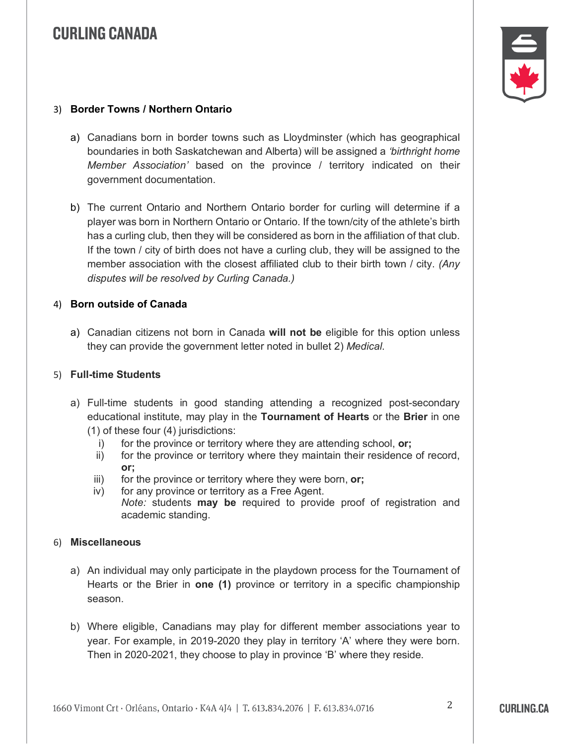

#### 3) **Border Towns / Northern Ontario**

- a) Canadians born in border towns such as Lloydminster (which has geographical boundaries in both Saskatchewan and Alberta) will be assigned a *'birthright home Member Association'* based on the province / territory indicated on their government documentation.
- b) The current Ontario and Northern Ontario border for curling will determine if a player was born in Northern Ontario or Ontario. If the town/city of the athlete's birth has a curling club, then they will be considered as born in the affiliation of that club. If the town / city of birth does not have a curling club, they will be assigned to the member association with the closest affiliated club to their birth town / city. *(Any disputes will be resolved by Curling Canada.)*

#### 4) **Born outside of Canada**

a) Canadian citizens not born in Canada **will not be** eligible for this option unless they can provide the government letter noted in bullet 2) *Medical*.

#### 5) **Full-time Students**

- a) Full-time students in good standing attending a recognized post-secondary educational institute, may play in the **Tournament of Hearts** or the **Brier** in one (1) of these four (4) jurisdictions:
	- i) for the province or territory where they are attending school, **or;**
	- ii) for the province or territory where they maintain their residence of record, **or;**
	- iii) for the province or territory where they were born, **or;**
	- iv) for any province or territory as a Free Agent. *Note:* students **may be** required to provide proof of registration and academic standing.

#### 6) **Miscellaneous**

- a) An individual may only participate in the playdown process for the Tournament of Hearts or the Brier in **one (1)** province or territory in a specific championship season.
- b) Where eligible, Canadians may play for different member associations year to year. For example, in 2019-2020 they play in territory 'A' where they were born. Then in 2020-2021, they choose to play in province 'B' where they reside.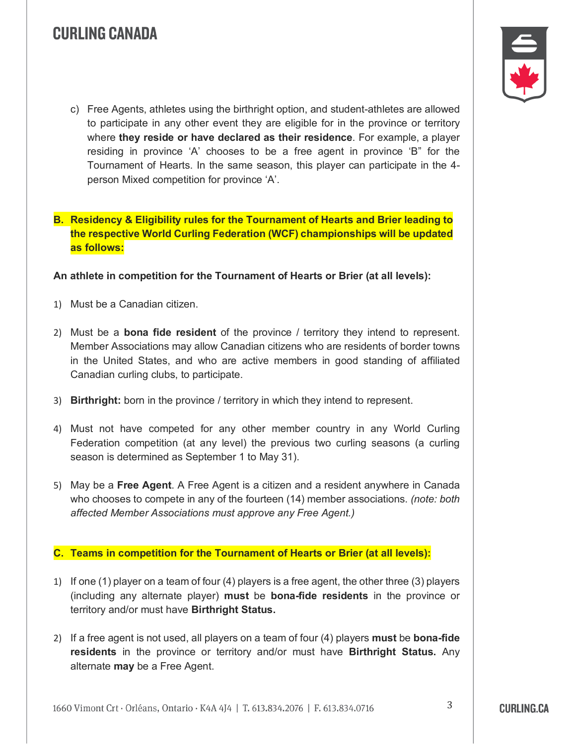

c) Free Agents, athletes using the birthright option, and student-athletes are allowed to participate in any other event they are eligible for in the province or territory where **they reside or have declared as their residence**. For example, a player residing in province 'A' chooses to be a free agent in province 'B" for the Tournament of Hearts. In the same season, this player can participate in the 4 person Mixed competition for province 'A'.

**B. Residency & Eligibility rules for the Tournament of Hearts and Brier leading to the respective World Curling Federation (WCF) championships will be updated as follows:**

**An athlete in competition for the Tournament of Hearts or Brier (at all levels):**

- 1) Must be a Canadian citizen.
- 2) Must be a **bona fide resident** of the province / territory they intend to represent. Member Associations may allow Canadian citizens who are residents of border towns in the United States, and who are active members in good standing of affiliated Canadian curling clubs, to participate.
- 3) **Birthright:** born in the province / territory in which they intend to represent.
- 4) Must not have competed for any other member country in any World Curling Federation competition (at any level) the previous two curling seasons (a curling season is determined as September 1 to May 31).
- 5) May be a **Free Agent**. A Free Agent is a citizen and a resident anywhere in Canada who chooses to compete in any of the fourteen (14) member associations. *(note: both affected Member Associations must approve any Free Agent.)*

#### **C. Teams in competition for the Tournament of Hearts or Brier (at all levels):**

- 1) If one (1) player on a team of four (4) players is a free agent, the other three (3) players (including any alternate player) **must** be **bona-fide residents** in the province or territory and/or must have **Birthright Status.**
- 2) If a free agent is not used, all players on a team of four (4) players **must** be **bona-fide residents** in the province or territory and/or must have **Birthright Status.** Any alternate **may** be a Free Agent.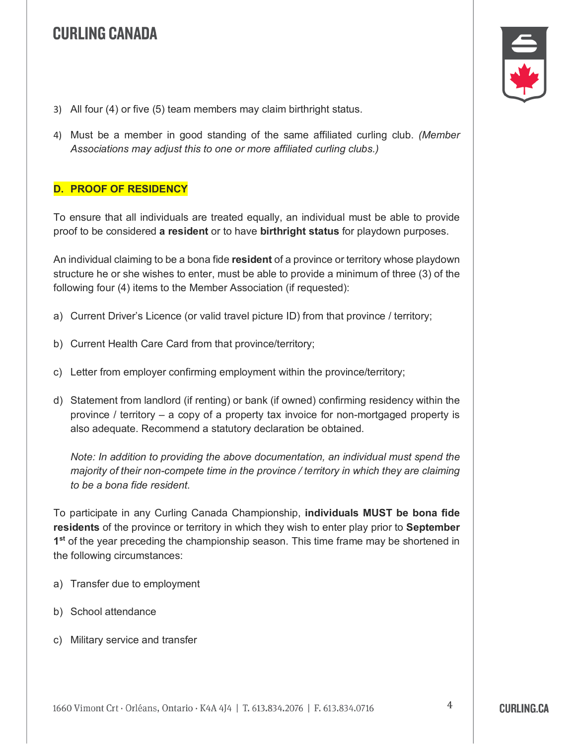- 3) All four (4) or five (5) team members may claim birthright status.
- 4) Must be a member in good standing of the same affiliated curling club. *(Member Associations may adjust this to one or more affiliated curling clubs.)*

### **D. PROOF OF RESIDENCY**

To ensure that all individuals are treated equally, an individual must be able to provide proof to be considered **a resident** or to have **birthright status** for playdown purposes.

An individual claiming to be a bona fide **resident** of a province or territory whose playdown structure he or she wishes to enter, must be able to provide a minimum of three (3) of the following four (4) items to the Member Association (if requested):

- a) Current Driver's Licence (or valid travel picture ID) from that province / territory;
- b) Current Health Care Card from that province/territory;
- c) Letter from employer confirming employment within the province/territory;
- d) Statement from landlord (if renting) or bank (if owned) confirming residency within the province / territory – a copy of a property tax invoice for non-mortgaged property is also adequate. Recommend a statutory declaration be obtained.

*Note: In addition to providing the above documentation, an individual must spend the majority of their non-compete time in the province / territory in which they are claiming to be a bona fide resident.*

To participate in any Curling Canada Championship, **individuals MUST be bona fide residents** of the province or territory in which they wish to enter play prior to **September 1st** of the year preceding the championship season. This time frame may be shortened in the following circumstances:

- a) Transfer due to employment
- b) School attendance
- c) Military service and transfer

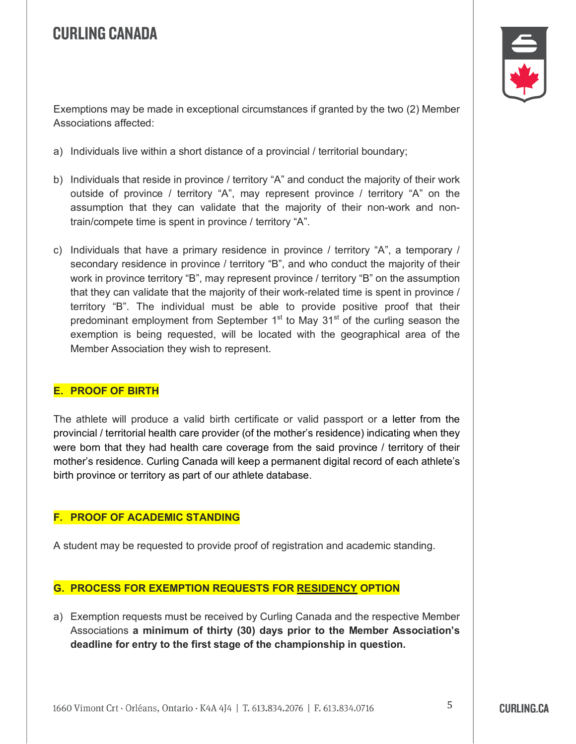

Exemptions may be made in exceptional circumstances if granted by the two (2) Member Associations affected:

- a) Individuals live within a short distance of a provincial / territorial boundary;
- b) Individuals that reside in province / territory "A" and conduct the majority of their work outside of province / territory "A", may represent province / territory "A" on the assumption that they can validate that the majority of their non-work and nontrain/compete time is spent in province / territory "A".
- c) Individuals that have a primary residence in province / territory "A", a temporary / secondary residence in province / territory "B", and who conduct the majority of their work in province territory "B", may represent province / territory "B" on the assumption that they can validate that the majority of their work-related time is spent in province / territory "B". The individual must be able to provide positive proof that their predominant employment from September  $1<sup>st</sup>$  to May  $31<sup>st</sup>$  of the curling season the exemption is being requested, will be located with the geographical area of the Member Association they wish to represent.

#### **E. PROOF OF BIRTH**

The athlete will produce a valid birth certificate or valid passport or a letter from the provincial / territorial health care provider (of the mother's residence) indicating when they were born that they had health care coverage from the said province / territory of their mother's residence. Curling Canada will keep a permanent digital record of each athlete's birth province or territory as part of our athlete database.

#### **F. PROOF OF ACADEMIC STANDING**

A student may be requested to provide proof of registration and academic standing.

#### **G. PROCESS FOR EXEMPTION REQUESTS FOR RESIDENCY OPTION**

a) Exemption requests must be received by Curling Canada and the respective Member Associations **a minimum of thirty (30) days prior to the Member Association's deadline for entry to the first stage of the championship in question.**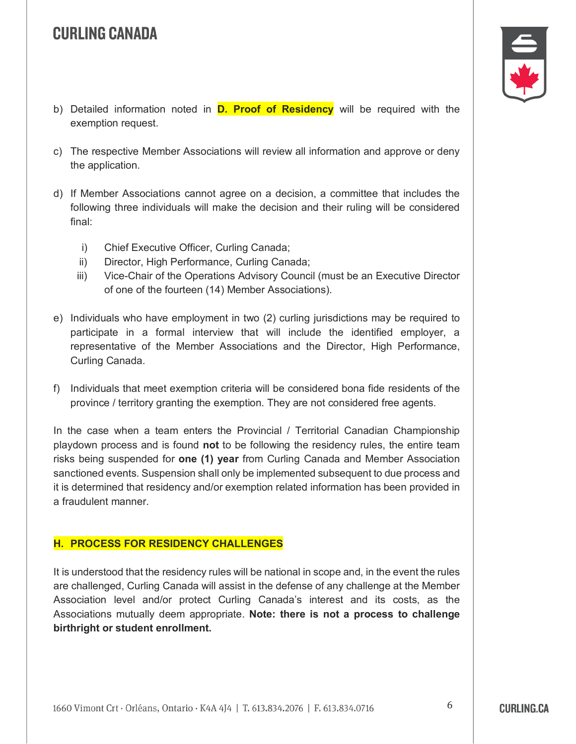

- b) Detailed information noted in **D. Proof of Residency** will be required with the exemption request.
- c) The respective Member Associations will review all information and approve or deny the application.
- d) If Member Associations cannot agree on a decision, a committee that includes the following three individuals will make the decision and their ruling will be considered final:
	- i) Chief Executive Officer, Curling Canada;
	- ii) Director, High Performance, Curling Canada;
	- iii) Vice-Chair of the Operations Advisory Council (must be an Executive Director of one of the fourteen (14) Member Associations).
- e) Individuals who have employment in two (2) curling jurisdictions may be required to participate in a formal interview that will include the identified employer, a representative of the Member Associations and the Director, High Performance, Curling Canada.
- f) Individuals that meet exemption criteria will be considered bona fide residents of the province / territory granting the exemption. They are not considered free agents.

In the case when a team enters the Provincial / Territorial Canadian Championship playdown process and is found **not** to be following the residency rules, the entire team risks being suspended for **one (1) year** from Curling Canada and Member Association sanctioned events. Suspension shall only be implemented subsequent to due process and it is determined that residency and/or exemption related information has been provided in a fraudulent manner.

#### **H. PROCESS FOR RESIDENCY CHALLENGES**

It is understood that the residency rules will be national in scope and, in the event the rules are challenged, Curling Canada will assist in the defense of any challenge at the Member Association level and/or protect Curling Canada's interest and its costs, as the Associations mutually deem appropriate. **Note: there is not a process to challenge birthright or student enrollment.**